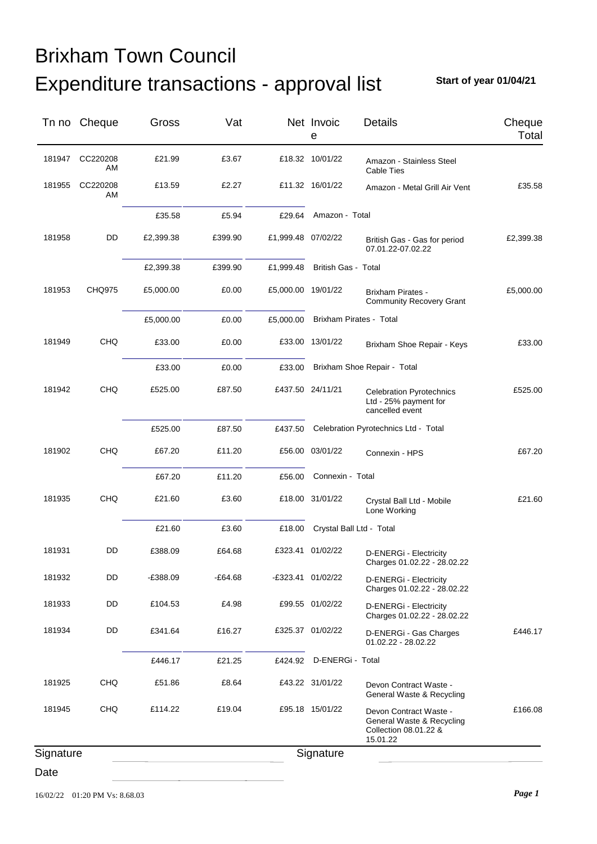**Start of year 01/04/21**

|           | Tn no Cheque   | Gross      | Vat     |                    | Net Invoic<br>e            | <b>Details</b>                                                                           | Cheque<br>Total |
|-----------|----------------|------------|---------|--------------------|----------------------------|------------------------------------------------------------------------------------------|-----------------|
| 181947    | CC220208<br>AM | £21.99     | £3.67   |                    | £18.32 10/01/22            | Amazon - Stainless Steel<br>Cable Ties                                                   |                 |
| 181955    | CC220208<br>AM | £13.59     | £2.27   |                    | £11.32 16/01/22            | Amazon - Metal Grill Air Vent                                                            | £35.58          |
|           |                | £35.58     | £5.94   | £29.64             | Amazon - Total             |                                                                                          |                 |
| 181958    | DD             | £2,399.38  | £399.90 | £1,999.48 07/02/22 |                            | British Gas - Gas for period<br>07.01.22-07.02.22                                        | £2,399.38       |
|           |                | £2,399.38  | £399.90 | £1,999.48          | <b>British Gas - Total</b> |                                                                                          |                 |
| 181953    | <b>CHQ975</b>  | £5,000.00  | £0.00   | £5,000.00 19/01/22 |                            | <b>Brixham Pirates -</b><br><b>Community Recovery Grant</b>                              | £5,000.00       |
|           |                | £5,000.00  | £0.00   | £5,000.00          | Brixham Pirates - Total    |                                                                                          |                 |
| 181949    | <b>CHQ</b>     | £33.00     | £0.00   |                    | £33.00 13/01/22            | Brixham Shoe Repair - Keys                                                               | £33.00          |
|           |                | £33.00     | £0.00   | £33.00             |                            | Brixham Shoe Repair - Total                                                              |                 |
| 181942    | CHQ            | £525.00    | £87.50  |                    | £437.50 24/11/21           | <b>Celebration Pyrotechnics</b><br>Ltd - 25% payment for<br>cancelled event              | £525.00         |
|           |                | £525.00    | £87.50  | £437.50            |                            | Celebration Pyrotechnics Ltd - Total                                                     |                 |
| 181902    | <b>CHQ</b>     | £67.20     | £11.20  |                    | £56.00 03/01/22            | Connexin - HPS                                                                           | £67.20          |
|           |                | £67.20     | £11.20  | £56.00             | Connexin - Total           |                                                                                          |                 |
| 181935    | CHQ            | £21.60     | £3.60   |                    | £18.00 31/01/22            | Crystal Ball Ltd - Mobile<br>Lone Working                                                | £21.60          |
|           |                | £21.60     | £3.60   | £18.00             | Crystal Ball Ltd - Total   |                                                                                          |                 |
| 181931    | DD             | £388.09    | £64.68  |                    | £323.41 01/02/22           | D-ENERGi - Electricity<br>Charges 01.02.22 - 28.02.22                                    |                 |
| 181932    | DD             | $-£388.09$ | E64.68  |                    | E323.41 01/02/22           | D-ENERGi - Electricity<br>Charges 01.02.22 - 28.02.22                                    |                 |
| 181933    | DD             | £104.53    | £4.98   |                    | £99.55 01/02/22            | D-ENERGi - Electricity<br>Charges 01.02.22 - 28.02.22                                    |                 |
| 181934    | DD             | £341.64    | £16.27  |                    | £325.37 01/02/22           | D-ENERGi - Gas Charges<br>01.02.22 - 28.02.22                                            | £446.17         |
|           |                | £446.17    | £21.25  | £424.92            | D-ENERGi - Total           |                                                                                          |                 |
| 181925    | <b>CHQ</b>     | £51.86     | £8.64   |                    | £43.22 31/01/22            | Devon Contract Waste -<br>General Waste & Recycling                                      |                 |
| 181945    | <b>CHQ</b>     | £114.22    | £19.04  |                    | £95.18 15/01/22            | Devon Contract Waste -<br>General Waste & Recycling<br>Collection 08.01.22 &<br>15.01.22 | £166.08         |
| Signature |                |            |         |                    | Signature                  |                                                                                          |                 |
| Date      |                |            |         |                    |                            |                                                                                          |                 |

16/02/22 01:20 PM Vs: 8.68.03 *Page 1*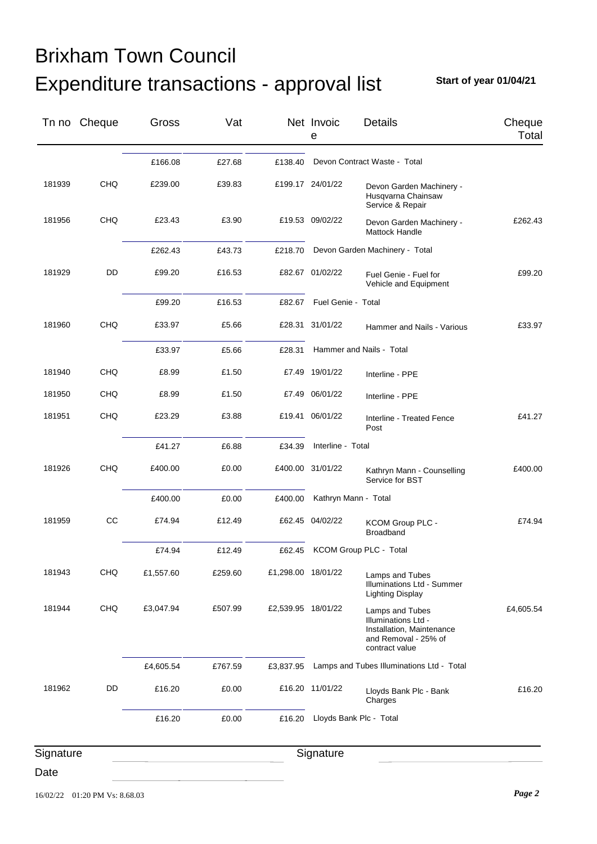**Start of year 01/04/21**

|           | Tn no Cheque | Gross     | Vat     |                    | Net Invoic<br>е      | <b>Details</b>                                                                                                | Cheque<br>Total |
|-----------|--------------|-----------|---------|--------------------|----------------------|---------------------------------------------------------------------------------------------------------------|-----------------|
|           |              | £166.08   | £27.68  | £138.40            |                      | Devon Contract Waste - Total                                                                                  |                 |
| 181939    | <b>CHQ</b>   | £239.00   | £39.83  |                    | £199.17 24/01/22     | Devon Garden Machinery -<br>Husqvarna Chainsaw<br>Service & Repair                                            |                 |
| 181956    | CHQ          | £23.43    | £3.90   |                    | £19.53 09/02/22      | Devon Garden Machinery -<br>Mattock Handle                                                                    | £262.43         |
|           |              | £262.43   | £43.73  | £218.70            |                      | Devon Garden Machinery - Total                                                                                |                 |
| 181929    | DD           | £99.20    | £16.53  |                    | £82.67 01/02/22      | Fuel Genie - Fuel for<br>Vehicle and Equipment                                                                | £99.20          |
|           |              | £99.20    | £16.53  | £82.67             | Fuel Genie - Total   |                                                                                                               |                 |
| 181960    | CHQ          | £33.97    | £5.66   |                    | £28.31 31/01/22      | Hammer and Nails - Various                                                                                    | £33.97          |
|           |              | £33.97    | £5.66   | £28.31             |                      | Hammer and Nails - Total                                                                                      |                 |
| 181940    | CHQ          | £8.99     | £1.50   |                    | £7.49 19/01/22       | Interline - PPE                                                                                               |                 |
| 181950    | <b>CHQ</b>   | £8.99     | £1.50   |                    | £7.49 06/01/22       | Interline - PPE                                                                                               |                 |
| 181951    | <b>CHQ</b>   | £23.29    | £3.88   |                    | £19.41 06/01/22      | Interline - Treated Fence<br>Post                                                                             | £41.27          |
|           |              | £41.27    | £6.88   | £34.39             | Interline - Total    |                                                                                                               |                 |
| 181926    | CHQ          | £400.00   | £0.00   |                    | £400.00 31/01/22     | Kathryn Mann - Counselling<br>Service for BST                                                                 | £400.00         |
|           |              | £400.00   | £0.00   | £400.00            | Kathryn Mann - Total |                                                                                                               |                 |
| 181959    | cc           | £74.94    | £12.49  |                    | £62.45 04/02/22      | KCOM Group PLC -<br>Broadband                                                                                 | £74.94          |
|           |              | £74.94    | £12.49  | £62.45             |                      | KCOM Group PLC - Total                                                                                        |                 |
| 181943    | CHQ          | £1,557.60 | £259.60 | £1,298.00 18/01/22 |                      | Lamps and Tubes<br>Illuminations Ltd - Summer<br><b>Lighting Display</b>                                      |                 |
| 181944    | CHQ          | £3,047.94 | £507.99 | £2,539.95 18/01/22 |                      | Lamps and Tubes<br>Illuminations Ltd -<br>Installation, Maintenance<br>and Removal - 25% of<br>contract value | £4,605.54       |
|           |              | £4,605.54 | £767.59 | £3,837.95          |                      | Lamps and Tubes Illuminations Ltd - Total                                                                     |                 |
| 181962    | DD           | £16.20    | £0.00   |                    | £16.20 11/01/22      | Lloyds Bank Plc - Bank<br>Charges                                                                             | £16.20          |
|           |              | £16.20    | £0.00   | £16.20             |                      | Lloyds Bank Plc - Total                                                                                       |                 |
| Signature |              |           |         |                    | Signature            |                                                                                                               |                 |
| Date      |              |           |         |                    |                      |                                                                                                               |                 |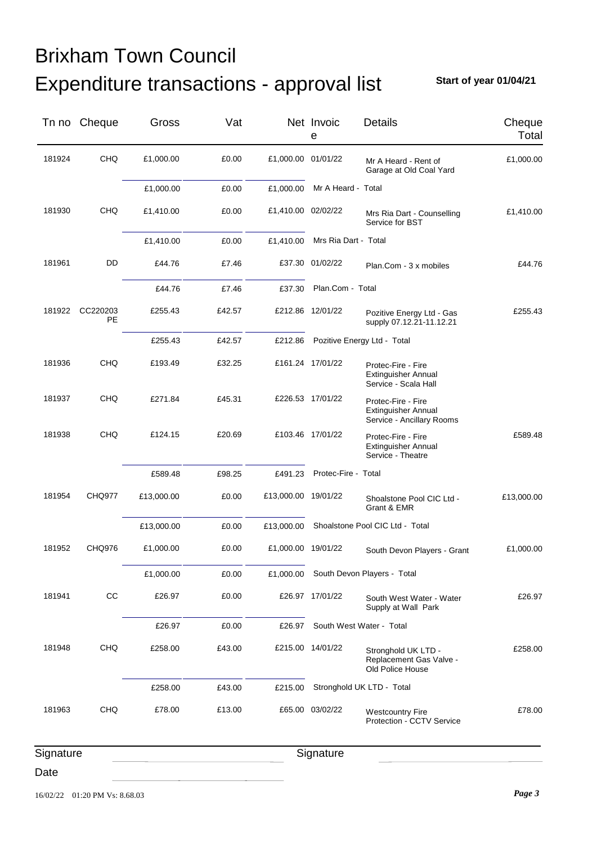**Start of year 01/04/21**

|           | Tn no Cheque   | Gross      | Vat    |                     | Net Invoic<br>е      | Details                                                                       | Cheque<br>Total |
|-----------|----------------|------------|--------|---------------------|----------------------|-------------------------------------------------------------------------------|-----------------|
| 181924    | CHQ            | £1,000.00  | £0.00  | £1,000.00 01/01/22  |                      | Mr A Heard - Rent of<br>Garage at Old Coal Yard                               | £1,000.00       |
|           |                | £1,000.00  | £0.00  | £1,000.00           | Mr A Heard - Total   |                                                                               |                 |
| 181930    | CHQ            | £1,410.00  | £0.00  | £1,410.00 02/02/22  |                      | Mrs Ria Dart - Counselling<br>Service for BST                                 | £1,410.00       |
|           |                | £1,410.00  | £0.00  | £1,410.00           | Mrs Ria Dart - Total |                                                                               |                 |
| 181961    | DD             | £44.76     | £7.46  |                     | £37.30 01/02/22      | Plan.Com - 3 x mobiles                                                        | £44.76          |
|           |                | £44.76     | £7.46  | £37.30              | Plan.Com - Total     |                                                                               |                 |
| 181922    | CC220203<br>PE | £255.43    | £42.57 |                     | £212.86 12/01/22     | Pozitive Energy Ltd - Gas<br>supply 07.12.21-11.12.21                         | £255.43         |
|           |                | £255.43    | £42.57 | £212.86             |                      | Pozitive Energy Ltd - Total                                                   |                 |
| 181936    | <b>CHQ</b>     | £193.49    | £32.25 |                     | £161.24 17/01/22     | Protec-Fire - Fire<br><b>Extinguisher Annual</b><br>Service - Scala Hall      |                 |
| 181937    | <b>CHQ</b>     | £271.84    | £45.31 |                     | £226.53 17/01/22     | Protec-Fire - Fire<br><b>Extinguisher Annual</b><br>Service - Ancillary Rooms |                 |
| 181938    | <b>CHQ</b>     | £124.15    | £20.69 |                     | £103.46 17/01/22     | Protec-Fire - Fire<br><b>Extinguisher Annual</b><br>Service - Theatre         | £589.48         |
|           |                | £589.48    | £98.25 | £491.23             | Protec-Fire - Total  |                                                                               |                 |
| 181954    | <b>CHQ977</b>  | £13,000.00 | £0.00  | £13,000.00 19/01/22 |                      | Shoalstone Pool CIC Ltd -<br>Grant & EMR                                      | £13,000.00      |
|           |                | £13,000.00 | £0.00  | £13,000.00          |                      | Shoalstone Pool CIC Ltd - Total                                               |                 |
| 181952    | CHQ976         | £1,000.00  | £0.00  | £1,000.00 19/01/22  |                      | South Devon Players - Grant                                                   | £1,000.00       |
|           |                | £1,000.00  | £0.00  |                     |                      | £1,000.00 South Devon Players - Total                                         |                 |
| 181941    | CC             | £26.97     | £0.00  |                     | £26.97 17/01/22      | South West Water - Water<br>Supply at Wall Park                               | £26.97          |
|           |                | £26.97     | £0.00  | £26.97              |                      | South West Water - Total                                                      |                 |
| 181948    | <b>CHQ</b>     | £258.00    | £43.00 |                     | £215.00 14/01/22     | Stronghold UK LTD -<br>Replacement Gas Valve -<br>Old Police House            | £258.00         |
|           |                | £258.00    | £43.00 | £215.00             |                      | Stronghold UK LTD - Total                                                     |                 |
| 181963    | <b>CHQ</b>     | £78.00     | £13.00 |                     | £65.00 03/02/22      | <b>Westcountry Fire</b><br>Protection - CCTV Service                          | £78.00          |
| Signature |                |            |        |                     | Signature            |                                                                               |                 |
| Date      |                |            |        |                     |                      |                                                                               |                 |